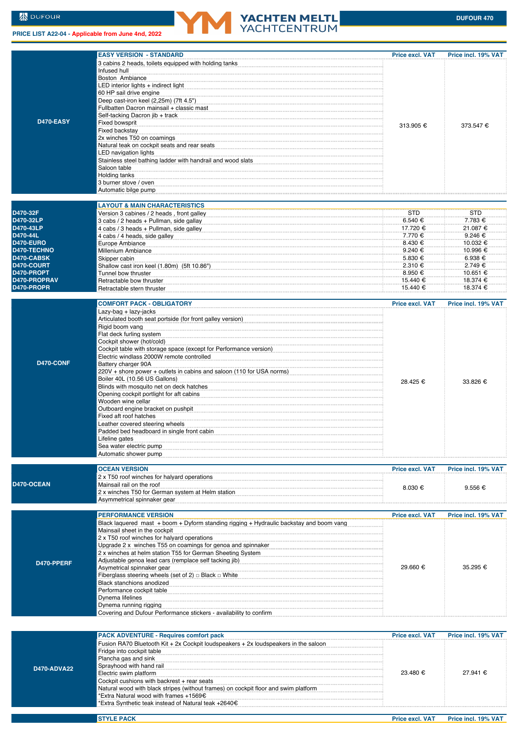## **PRICE LIST A22-04 - Applicable from June 4nd, 2022**



|              | <b>EASY VERSION - STANDARD</b>                                                                                                                                                                                                  | <b>Price excl. VAT</b> | Price incl. 19% VAT |
|--------------|---------------------------------------------------------------------------------------------------------------------------------------------------------------------------------------------------------------------------------|------------------------|---------------------|
|              | 3 cabins 2 heads, toilets equipped with holding tanks<br>Infused hull                                                                                                                                                           |                        |                     |
|              | Boston Ambiance                                                                                                                                                                                                                 |                        |                     |
|              | LED interior lights + indirect light                                                                                                                                                                                            |                        |                     |
|              | 60 HP sail drive engine                                                                                                                                                                                                         |                        |                     |
|              | Deep cast-iron keel (2,25m) (7ft 4.5")                                                                                                                                                                                          |                        |                     |
|              | Fullbatten Dacron mainsail + classic mast                                                                                                                                                                                       |                        |                     |
|              | Self-tacking Dacron jib + track                                                                                                                                                                                                 |                        |                     |
| D470-EASY    | Fixed bowsprit<br>----------------------------------                                                                                                                                                                            |                        |                     |
|              | Fixed backstay                                                                                                                                                                                                                  | 313.905 €              | 373.547 €           |
|              | 2x winches T50 on coamings                                                                                                                                                                                                      |                        |                     |
|              | Natural teak on cockpit seats and rear seats                                                                                                                                                                                    |                        |                     |
|              | LED navigation lights                                                                                                                                                                                                           |                        |                     |
|              | Stainless steel bathing ladder with handrail and wood slats                                                                                                                                                                     |                        |                     |
|              | Saloon table                                                                                                                                                                                                                    |                        |                     |
|              | Holding tanks                                                                                                                                                                                                                   |                        |                     |
|              | 3 burner stove / oven                                                                                                                                                                                                           |                        |                     |
|              | Automatic bilge pump<br>management continues and the pump of the summan and the summan and the summan and the summan and the summan summan and the summan summan summan summan summan summan summan summan summan summan summan |                        |                     |
|              |                                                                                                                                                                                                                                 |                        |                     |
|              | <b>LAYOUT &amp; MAIN CHARACTERISTICS</b>                                                                                                                                                                                        |                        |                     |
| D470-32F     | Version 3 cabines / 2 heads, front galley                                                                                                                                                                                       | <b>STD</b>             | <b>STD</b>          |
| D470-32LP    | 3 cabs / 2 heads + Pullman, side gallay                                                                                                                                                                                         | $6.540 \in$            | 7.783 €             |
| D470-43LP    | 4 cabs / 3 heads + Pullman, side galley                                                                                                                                                                                         | 17.720 €               | 21.087 €            |
| D470-44L     | 4 cabs / 4 heads, side galley                                                                                                                                                                                                   | 7.770 €                | 9.246 €             |
| D470-EURO    | Europe Ambiance                                                                                                                                                                                                                 | 8.430 €                | 10.032 €            |
| D470-TECHNO  | Millenium Ambiance                                                                                                                                                                                                              | 9.240 €                | 10.996 €            |
| D470-CABSK   | Skipper cabin                                                                                                                                                                                                                   | 5.830 €                | 6.938 €             |
| D470-COURT   | Shallow cast iron keel (1.80m) (5ft 10.86")                                                                                                                                                                                     | $2.310 \text{ €}$      | 2.749 €             |
| D470-PROPT   | Tunnel bow thruster                                                                                                                                                                                                             | 8.950 €                | 10.651 €            |
| D470-PROPRAV | Retractable bow thruster                                                                                                                                                                                                        | 15.440 €               | 18.374 €            |
| D470-PROPR   | Retractable stern thruster                                                                                                                                                                                                      | 15.440 €               | 18.374 €            |
|              |                                                                                                                                                                                                                                 |                        |                     |
|              | <b>COMFORT PACK - OBLIGATORY</b>                                                                                                                                                                                                | <b>Price excl. VAT</b> | Price incl. 19% VAT |
|              | Lazy-bag + lazy-jacks                                                                                                                                                                                                           |                        |                     |
|              | Articulated booth seat portside (for front galley version)                                                                                                                                                                      |                        |                     |
|              | Rigid boom vang                                                                                                                                                                                                                 |                        |                     |
|              | Flat deck furling system                                                                                                                                                                                                        |                        |                     |
|              | Cockpit shower (hot/cold)                                                                                                                                                                                                       |                        |                     |
|              | Cockpit table with storage space (except for Performance version)                                                                                                                                                               |                        |                     |
| D470-CONF    | Electric windlass 2000W remote controlled                                                                                                                                                                                       |                        |                     |
|              | Battery charger 90A                                                                                                                                                                                                             |                        |                     |
|              | 220V + shore power + outlets in cabins and saloon (110 for USA norms)                                                                                                                                                           |                        |                     |
|              | Boiler 40L (10.56 US Gallons)                                                                                                                                                                                                   | 28.425 €               | 33.826 €            |
|              | Blinds with mosquito net on deck hatches                                                                                                                                                                                        |                        |                     |
|              | Opening cockpit portlight for aft cabins                                                                                                                                                                                        |                        |                     |
|              | Wooden wine cellar                                                                                                                                                                                                              |                        |                     |
|              | Outboard engine bracket on pushpit                                                                                                                                                                                              |                        |                     |
|              | Fixed aft roof hatches                                                                                                                                                                                                          |                        |                     |
|              | Leather covered steering wheels                                                                                                                                                                                                 |                        |                     |
|              | Padded bed headboard in single front cabin                                                                                                                                                                                      |                        |                     |
|              | Lifeline gates<br>Sea water electric pump                                                                                                                                                                                       |                        |                     |
|              | Automatic shower pump                                                                                                                                                                                                           |                        |                     |
|              |                                                                                                                                                                                                                                 |                        |                     |
|              | <b>OCEAN VERSION</b>                                                                                                                                                                                                            | Price excl. VAT        | Price incl. 19% VAT |
|              | 2 x T50 roof winches for halyard operations                                                                                                                                                                                     |                        |                     |
| D470-OCEAN   | Mainsail rail on the roof                                                                                                                                                                                                       | $8.030 \in$            | $9.556 \in$         |
|              | 2 x winches T50 for German system at Helm station                                                                                                                                                                               |                        |                     |
|              | Asymmetrical spinnaker gear                                                                                                                                                                                                     |                        |                     |
|              |                                                                                                                                                                                                                                 |                        |                     |
|              | <b>PERFORMANCE VERSION</b>                                                                                                                                                                                                      | <b>Price excl. VAT</b> | Price incl. 19% VAT |
|              | Black laguered mast + boom + Dyform standing rigging + Hydraulic backstay and boom vang                                                                                                                                         |                        |                     |
|              | Mainsail sheet in the cockpit                                                                                                                                                                                                   |                        |                     |
|              | 2 x T50 roof winches for halyard operations                                                                                                                                                                                     |                        |                     |
|              | Upgrade 2 x winches T55 on coamings for genoa and spinnaker                                                                                                                                                                     |                        |                     |
|              | 2 x winches at helm station T55 for German Sheeting System                                                                                                                                                                      |                        |                     |
| D470-PPERF   | Adjustable genoa lead cars (remplace self tacking jib)                                                                                                                                                                          |                        |                     |
|              | Asymetrical spinnaker gear                                                                                                                                                                                                      | 29.660 €               | 35.295 €            |
|              | Fiberglass steering wheels (set of 2) $\Box$ Black $\Box$ White                                                                                                                                                                 |                        |                     |
|              | Black stanchions anodized                                                                                                                                                                                                       |                        |                     |
|              | Performance cockpit table                                                                                                                                                                                                       |                        |                     |
|              | Dynema lifelines                                                                                                                                                                                                                |                        |                     |
|              | Dynema running rigging                                                                                                                                                                                                          |                        |                     |
|              | Covering and Dufour Performance stickers - availability to confirm                                                                                                                                                              |                        |                     |
|              |                                                                                                                                                                                                                                 |                        |                     |
|              | <b>PACK ADVENTURE - Requires comfort pack</b>                                                                                                                                                                                   | <b>Price excl. VAT</b> | Price incl. 19% VAT |
|              | Fusion RA70 Bluetooth Kit + 2x Cockpit loudspeakers + 2x loudspeakers in the saloon                                                                                                                                             |                        |                     |
|              | Fridge into cockpit table                                                                                                                                                                                                       |                        |                     |
|              | Plancha gas and sink                                                                                                                                                                                                            |                        |                     |
|              | Sprayhood with hand rail                                                                                                                                                                                                        |                        |                     |
| D470-ADVA22  | Electric swim platform                                                                                                                                                                                                          | 23.480 €               | 27.941 €            |
|              | Cockpit cushions with backrest + rear seats                                                                                                                                                                                     |                        |                     |
|              | Natural wood with black stripes (without frames) on cockpit floor and swim platform                                                                                                                                             |                        |                     |
|              | 'Extra Natural wood with frames +1569€                                                                                                                                                                                          |                        |                     |

\*Extra Synthetic teak instead of Natural teak +2640€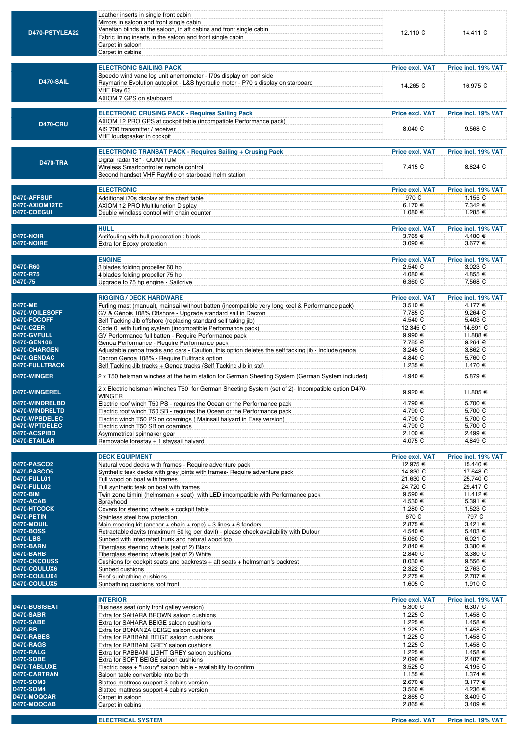| D470-PSTYLEA22                        | Leather inserts in single front cabin<br>Mirrors in saloon and front single cabin<br>Venetian blinds in the saloon, in aft cabins and front single cabin<br>Fabric lining inserts in the saloon and front single cabin<br>Carpet in saloon<br>Carpet in cabins | 12.110 €                           | 14.411 €                        |
|---------------------------------------|----------------------------------------------------------------------------------------------------------------------------------------------------------------------------------------------------------------------------------------------------------------|------------------------------------|---------------------------------|
|                                       | <b>ELECTRONIC SAILING PACK</b>                                                                                                                                                                                                                                 | Price excl. VAT                    | Price incl. 19% VAT             |
| D470-SAIL                             | Speedo wind vane log unit anemometer - I70s display on port side<br>Raymarine Evolution autopilot - L&S hydraulic motor - P70 s display on starboard<br>VHF Ray 63<br>AXIOM 7 GPS on starboard                                                                 | 14.265 €                           | 16.975 €                        |
|                                       | <b>ELECTRONIC CRUSING PACK - Requires Sailing Pack</b>                                                                                                                                                                                                         | Price excl. VAT                    | Price incl. 19% VAT             |
| <b>D470-CRU</b>                       | AXIOM 12 PRO GPS at cockpit table (incompatible Performance pack)<br>AIS 700 transmitter / receiver<br>VHF loudspeaker in cockpit                                                                                                                              | 8.040 €                            | 9.568 $\epsilon$                |
|                                       | <b>ELECTRONIC TRANSAT PACK - Requires Sailing + Crusing Pack</b>                                                                                                                                                                                               | <b>Price excl. VAT</b>             | Price incl. 19% VAT             |
| <b>D470-TRA</b>                       | Digital radar 18" - QUANTUM<br>Wireless Smartcontroller remote control<br>Second handset VHF RayMic on starboard helm station                                                                                                                                  | 7.415 €                            | 8.824 €                         |
|                                       |                                                                                                                                                                                                                                                                |                                    |                                 |
| D470-AFFSUP                           | <b>ELECTRONIC</b>                                                                                                                                                                                                                                              | <b>Price excl. VAT</b><br>970 €    | Price incl. 19% VAT<br>1.155 €  |
| D470-AXIOM12TC                        | Additional i70s display at the chart table<br>AXIOM 12 PRO Multifunction Display                                                                                                                                                                               | 6.170 €                            | 7.342 €                         |
| D470-CDEGUI                           | Double windlass control with chain counter                                                                                                                                                                                                                     | 1.080 €                            | 1.285 €                         |
|                                       | <b>HULL</b>                                                                                                                                                                                                                                                    | <b>Price excl. VAT</b>             |                                 |
| <b>D470-NOIR</b>                      | Antifouling with hull preparation : black                                                                                                                                                                                                                      | 3.765 €                            | Price incl. 19% VAT<br>4.480 €  |
| D470-NOIRE                            | Extra for Epoxy protection                                                                                                                                                                                                                                     | 3.090 €                            | 3.677 €                         |
|                                       | <b>ENGINE</b>                                                                                                                                                                                                                                                  | <b>Price excl. VAT</b>             | Price incl. 19% VAT             |
| D470-R60                              | 3 blades folding propeller 60 hp                                                                                                                                                                                                                               | 2.540 €                            | 3.023 €                         |
| D470-R75                              | 4 blades folding propeller 75 hp                                                                                                                                                                                                                               | 4.080 €                            | 4.855 €                         |
| D470-75                               | Upgrade to 75 hp engine - Saildrive                                                                                                                                                                                                                            | 6.360 €                            | 7.568 €                         |
|                                       | <b>RIGGING / DECK HARDWARE</b>                                                                                                                                                                                                                                 | <b>Price excl. VAT</b>             | Price incl. 19% VAT             |
| <b>D470-ME</b>                        | Furling mast (manual), mainsail without batten (incompatible very long keel & Performance pack)                                                                                                                                                                | 3.510 €                            | 4.177 €                         |
| D470-VOILESOFF                        | GV & Génois 108% Offshore - Upgrade standard sail in Dacron                                                                                                                                                                                                    | 7.785 €                            | 9.264 $\epsilon$                |
| D470-FOCOFF<br><b>D470-CZER</b>       | Self Tacking Jib offshore (replacing standard self taking jib)<br>Code 0 with furling system (incompatible Performance pack)                                                                                                                                   | 4.540 €<br>12.345 €                | 5.403 €<br>14.691 €             |
| D470-GVFULL                           | GV Performance full batten - Require Performance pack                                                                                                                                                                                                          | 9.990 €                            | 11.888 €                        |
| <b>D470-GEN108</b>                    | Genoa Performance - Require Performance pack                                                                                                                                                                                                                   | 7.785€                             | 9.264 $\epsilon$                |
| <b>D470-CHARGEN</b><br>D470-GENDAC    | Adjustable genoa tracks and cars - Caution, this option deletes the self tacking jib - Include genoa<br>Dacron Genoa 108% - Require Fulltrack option                                                                                                           | 3.245 €<br>4.840 €                 | 3.862 €<br>5.760 €              |
| <b>D470-FULLTRACK</b>                 | Self Tacking Jib tracks + Genoa tracks (Self Tacking Jib in std)                                                                                                                                                                                               | 1.235 €                            | 1.470 €                         |
| D470-WINGER                           | 2 x T50 helsman winches at the helm station for German Sheeting System (German System included)                                                                                                                                                                | 4.940 €                            | 5.879 €                         |
| <b>D470-WINGEREL</b>                  | 2 x Electric helsman Winches T50 for German Sheeting System (set of 2)- Incompatible option D470-                                                                                                                                                              | $9.920 \text{€}$                   | 11.805 €                        |
| D470-WINDRELBD                        | <b>WINGER</b><br>Electric roof winch T50 PS - requires the Ocean or the Performance pack                                                                                                                                                                       | 4.790 €                            | 5.700 €                         |
| D470-WINDRELTD                        | Electric roof winch T50 SB - requires the Ocean or the Performance pack                                                                                                                                                                                        | 4.790 €                            | 5.700 €                         |
| D470-WPBDELEC                         | Electric winch T50 PS on coamings (Mainsail halyard in Easy version)                                                                                                                                                                                           | 4.790 €                            | 5.700 €                         |
| D470-WPTDELEC<br>D470-ACSPIBD         | Electric winch T50 SB on coamings<br>Asymmetrical spinnaker gear                                                                                                                                                                                               | 4.790 €<br>2.100 €                 | 5.700 €<br>2.499 €              |
| D470-ETAILAR                          | Removable forestay + 1 staysail halyard                                                                                                                                                                                                                        | 4.075 €                            | 4.849 €                         |
|                                       |                                                                                                                                                                                                                                                                |                                    |                                 |
| D470-PASCO2                           | <b>DECK EQUIPMENT</b><br>Natural vood decks with frames - Require adventure pack                                                                                                                                                                               | <b>Price excl. VAT</b><br>12.975 € | Price incl. 19% VAT<br>15.440 € |
| D470-PASCO5                           | Synthetic teak decks with grey joints with frames- Require adventure pack                                                                                                                                                                                      | 14.830 €                           | 17.648 €                        |
| <b>D470-FULL01</b>                    | Full wood on boat with frames                                                                                                                                                                                                                                  | 21.630 €                           | 25.740 €                        |
| <b>D470-FULL02</b><br><b>D470-BIM</b> | Full synthetic teak on boat with frames<br>Twin zone bimini (helmsman + seat) with LED imcompatible with Performance pack                                                                                                                                      | 24.720 €<br>9.590€                 | 29.417 €<br>11.412 €            |
| D470-ACAB                             | Sprayhood                                                                                                                                                                                                                                                      | 4.530 €                            | 5.391 €                         |
| D470-HTCOCK                           | Covers for steering wheels + cockpit table manufactured covers for steering wheels + cockpit table                                                                                                                                                             | 1.280 €                            | 1.523 €                         |
| D470-PETIN<br>D470-MOUIL              | Stainless steel bow protection<br>Main mooring kit (anchor + chain + rope) + 3 lines + 6 fenders                                                                                                                                                               | 670€<br>2.875 €                    | 797€<br>3.421 €                 |
| <b>D470-BOSS</b>                      | Retractable davits (maximum 50 kg per davit) - please check availability with Dufour                                                                                                                                                                           | 4.540 €                            | 5.403 €                         |
| <b>D470-LBS</b>                       | Sunbed with integrated trunk and natural wood top                                                                                                                                                                                                              | 5.060 €                            | 6.021 €                         |
| D470-BARN<br>D470-BARB                | Fiberglass steering wheels (set of 2) Black<br>Fiberglass steering wheels (set of 2) White                                                                                                                                                                     | 2.840 €<br>2.840 €                 | 3.380 €<br>3.380 €              |
| <b>D470-CKCOUSS</b>                   | Cushions for cockpit seats and backrests + aft seats + helmsman's backrest                                                                                                                                                                                     | 8.030 €                            | $9.556 \in$                     |
| D470-COULUX6                          | Sunbed cushions                                                                                                                                                                                                                                                | 2.322 €                            | 2.763 €                         |
| D470-COULUX4<br>D470-COULUX5          | Roof sunbathing cushions <b>contained a state of the contact of the contact of the contact of the contact of the contact of the contact of the contact of the contact of the contact of the contact of the contact of the contac</b>                           | 2.275 €<br>1.605 €                 | 2.707 €<br>1.910 €              |
|                                       | Sunbathing cushions roof front                                                                                                                                                                                                                                 |                                    |                                 |
|                                       | <b>INTERIOR</b>                                                                                                                                                                                                                                                | <b>Price excl. VAT</b>             | Price incl. 19% VAT             |
| <b>D470-BUSISEAT</b><br>D470-SABR     | Business seat (only front galley version)<br>Extra for SAHARA BROWN saloon cushions                                                                                                                                                                            | 5.300 €<br>1.225 €                 | 6.307 €<br>1.458 €              |
| D470-SABE                             | Extra for SAHARA BEIGE saloon cushions                                                                                                                                                                                                                         | 1.225 €                            | 1.458 €                         |
| <b>D470-BB</b>                        | Extra for BONANZA BEIGE saloon cushions                                                                                                                                                                                                                        | 1.225 €                            | 1.458 €                         |
| D470-RABES<br>D470-RAGS               | Extra for RABBANI BEIGE saloon cushions<br>Extra for RABBANI GREY saloon cushions                                                                                                                                                                              | 1.225 €<br>1.225 €                 | 1.458 €<br>1.458 €              |
| D470-RALG                             | Extra for RABBANI LIGHT GREY saloon cushions [1999] [1999] [1999] [1999] [1999] [1999] [1999] [1999] [1999] [1                                                                                                                                                 | 1.225 €                            | 1.458 €                         |
| <b>D470-SOBE</b>                      | Extra for SOFT BEIGE saloon cushions                                                                                                                                                                                                                           | 2.090 €                            | 2.487 €                         |
| D470-TABLUXE<br>D470-CARTRAN          | Electric base + "luxury" saloon table - availability to confirm<br>Saloon table convertible into berth                                                                                                                                                         | 3.525 €<br>1.155 €                 | 4.195 €<br>1.374 €              |
| <b>D470-SOM3</b>                      | Slatted mattress support 3 cabins version                                                                                                                                                                                                                      | 2.670 €                            | $3.177 \&$                      |
| <b>D470-SOM4</b>                      | Slatted mattress support 4 cabins version                                                                                                                                                                                                                      | 3.560 €                            | 4.236 €                         |
| D470-MOQCAR<br>D470-MOQCAB            | Carpet in saloon                                                                                                                                                                                                                                               | 2.865€                             | $3.409 \epsilon$                |
|                                       | Carpet in cabins                                                                                                                                                                                                                                               | 2.865 €                            | 3.409 €                         |